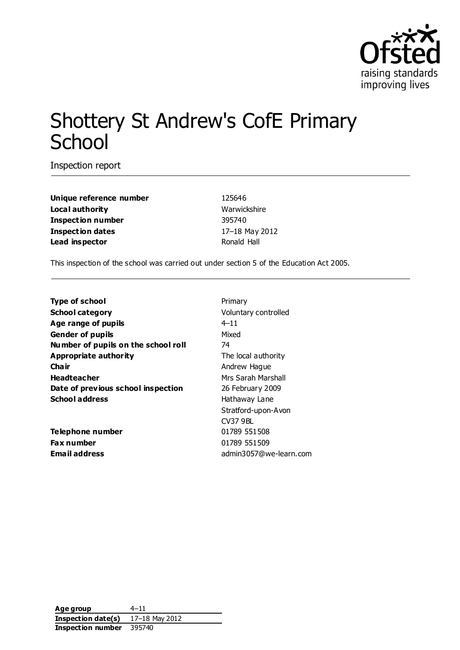

# Shottery St Andrew's CofE Primary **School**

Inspection report

**Unique reference number** 125646 **Local authority** Warwickshire **Inspection number** 395740 **Inspection dates** 17–18 May 2012 **Lead inspector Constanting Ronald Hall** 

This inspection of the school was carried out under section 5 of the Education Act 2005.

| <b>Type of school</b>               | Primary                |  |
|-------------------------------------|------------------------|--|
| <b>School category</b>              | Voluntary controlled   |  |
| Age range of pupils                 | $4 - 11$               |  |
| <b>Gender of pupils</b>             | Mixed                  |  |
| Number of pupils on the school roll | 74                     |  |
| Appropriate authority               | The local authority    |  |
| Cha ir                              | Andrew Hague           |  |
| <b>Headteacher</b>                  | Mrs Sarah Marshall     |  |
| Date of previous school inspection  | 26 February 2009       |  |
| <b>School address</b>               | Hathaway Lane          |  |
|                                     | Stratford-upon-Avon    |  |
|                                     | <b>CV37 9BL</b>        |  |
| Telephone number                    | 01789 551508           |  |
| <b>Fax number</b>                   | 01789 551509           |  |
| <b>Email address</b>                | admin3057@we-learn.com |  |

**Age group** 4–11 **Inspection date(s)** 17–18 May 2012 **Inspection number** 395740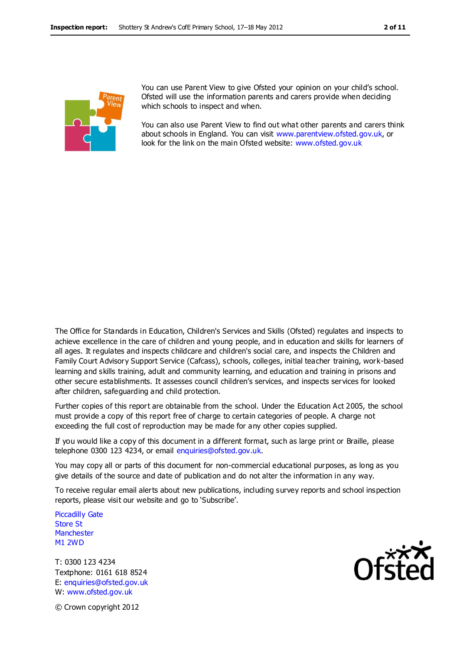

You can use Parent View to give Ofsted your opinion on your child's school. Ofsted will use the information parents and carers provide when deciding which schools to inspect and when.

You can also use Parent View to find out what other parents and carers think about schools in England. You can visit [www.parentview.ofsted.gov.uk,](http://www.parentview.ofsted.gov.uk/) or look for the link on the main Ofsted website: [www.ofsted.gov.uk](http://www.ofsted.gov.uk/)

The Office for Standards in Education, Children's Services and Skills (Ofsted) regulates and inspects to achieve excellence in the care of children and young people, and in education and skills for learners of all ages. It regulates and inspects childcare and children's social care, and inspects the Children and Family Court Advisory Support Service (Cafcass), schools, colleges, initial teacher training, work-based learning and skills training, adult and community learning, and education and training in prisons and other secure establishments. It assesses council children's services, and inspects services for looked after children, safeguarding and child protection.

Further copies of this report are obtainable from the school. Under the Education Act 2005, the school must provide a copy of this report free of charge to certain categories of people. A charge not exceeding the full cost of reproduction may be made for any other copies supplied.

If you would like a copy of this document in a different format, such as large print or Braille, please telephone 0300 123 4234, or email enquiries@ofsted.gov.uk.

You may copy all or parts of this document for non-commercial educational purposes, as long as you give details of the source and date of publication and do not alter the information in any way.

To receive regular email alerts about new publications, including survey reports and school inspection reports, please visit our website and go to 'Subscribe'.

Piccadilly Gate Store St **Manchester** M1 2WD

T: 0300 123 4234 Textphone: 0161 618 8524 E: enquiries@ofsted.gov.uk W: www.ofsted.gov.uk



© Crown copyright 2012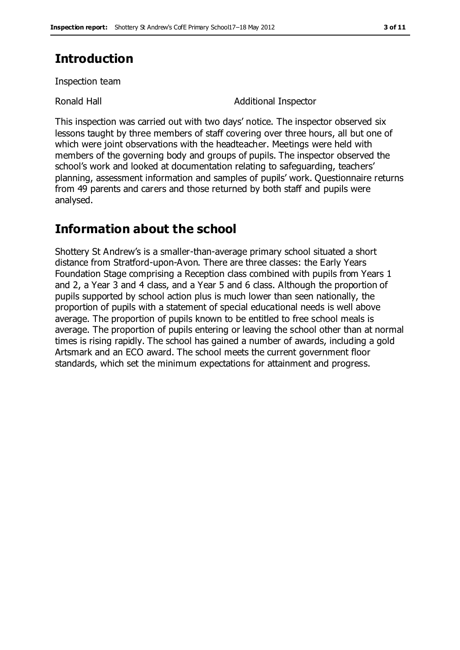# **Introduction**

Inspection team

Ronald Hall **Additional Inspector** 

This inspection was carried out with two days' notice. The inspector observed six lessons taught by three members of staff covering over three hours, all but one of which were joint observations with the headteacher. Meetings were held with members of the governing body and groups of pupils. The inspector observed the school's work and looked at documentation relating to safeguarding, teachers' planning, assessment information and samples of pupils' work. Questionnaire returns from 49 parents and carers and those returned by both staff and pupils were analysed.

# **Information about the school**

Shottery St Andrew's is a smaller-than-average primary school situated a short distance from Stratford-upon-Avon. There are three classes: the Early Years Foundation Stage comprising a Reception class combined with pupils from Years 1 and 2, a Year 3 and 4 class, and a Year 5 and 6 class. Although the proportion of pupils supported by school action plus is much lower than seen nationally, the proportion of pupils with a statement of special educational needs is well above average. The proportion of pupils known to be entitled to free school meals is average. The proportion of pupils entering or leaving the school other than at normal times is rising rapidly. The school has gained a number of awards, including a gold Artsmark and an ECO award. The school meets the current government floor standards, which set the minimum expectations for attainment and progress.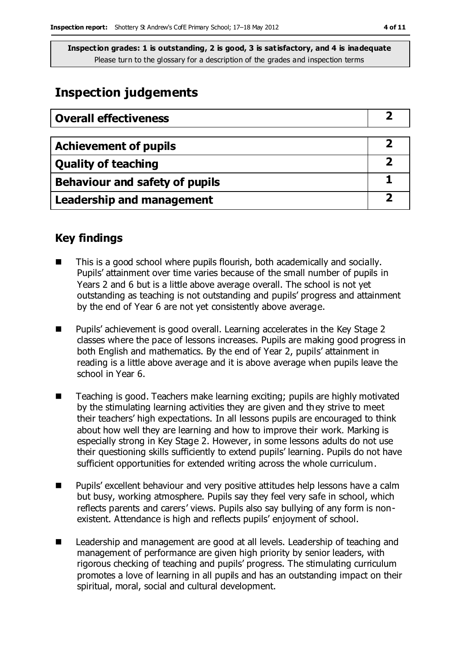# **Inspection judgements**

| <b>Overall effectiveness</b>     |  |
|----------------------------------|--|
|                                  |  |
| <b>Achievement of pupils</b>     |  |
| <b>Quality of teaching</b>       |  |
| Behaviour and safety of pupils   |  |
| <b>Leadership and management</b> |  |

### **Key findings**

- This is a good school where pupils flourish, both academically and socially. Pupils' attainment over time varies because of the small number of pupils in Years 2 and 6 but is a little above average overall. The school is not yet outstanding as teaching is not outstanding and pupils' progress and attainment by the end of Year 6 are not yet consistently above average.
- Pupils' achievement is good overall. Learning accelerates in the Key Stage 2 classes where the pace of lessons increases. Pupils are making good progress in both English and mathematics. By the end of Year 2, pupils' attainment in reading is a little above average and it is above average when pupils leave the school in Year 6.
- Teaching is good. Teachers make learning exciting; pupils are highly motivated by the stimulating learning activities they are given and they strive to meet their teachers' high expectations. In all lessons pupils are encouraged to think about how well they are learning and how to improve their work. Marking is especially strong in Key Stage 2. However, in some lessons adults do not use their questioning skills sufficiently to extend pupils' learning. Pupils do not have sufficient opportunities for extended writing across the whole curriculum.
- Pupils' excellent behaviour and very positive attitudes help lessons have a calm but busy, working atmosphere. Pupils say they feel very safe in school, which reflects parents and carers' views. Pupils also say bullying of any form is nonexistent. Attendance is high and reflects pupils' enjoyment of school.
- Leadership and management are good at all levels. Leadership of teaching and management of performance are given high priority by senior leaders, with rigorous checking of teaching and pupils' progress. The stimulating curriculum promotes a love of learning in all pupils and has an outstanding impact on their spiritual, moral, social and cultural development.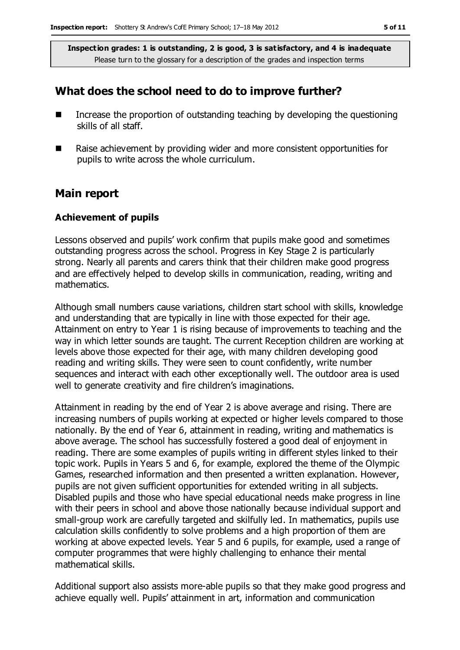### **What does the school need to do to improve further?**

- $\blacksquare$  Increase the proportion of outstanding teaching by developing the questioning skills of all staff.
- Raise achievement by providing wider and more consistent opportunities for pupils to write across the whole curriculum.

### **Main report**

#### **Achievement of pupils**

Lessons observed and pupils' work confirm that pupils make good and sometimes outstanding progress across the school. Progress in Key Stage 2 is particularly strong. Nearly all parents and carers think that their children make good progress and are effectively helped to develop skills in communication, reading, writing and mathematics.

Although small numbers cause variations, children start school with skills, knowledge and understanding that are typically in line with those expected for their age. Attainment on entry to Year 1 is rising because of improvements to teaching and the way in which letter sounds are taught. The current Reception children are working at levels above those expected for their age, with many children developing good reading and writing skills. They were seen to count confidently, write number sequences and interact with each other exceptionally well. The outdoor area is used well to generate creativity and fire children's imaginations.

Attainment in reading by the end of Year 2 is above average and rising. There are increasing numbers of pupils working at expected or higher levels compared to those nationally. By the end of Year 6, attainment in reading, writing and mathematics is above average. The school has successfully fostered a good deal of enjoyment in reading. There are some examples of pupils writing in different styles linked to their topic work. Pupils in Years 5 and 6, for example, explored the theme of the Olympic Games, researched information and then presented a written explanation. However, pupils are not given sufficient opportunities for extended writing in all subjects. Disabled pupils and those who have special educational needs make progress in line with their peers in school and above those nationally because individual support and small-group work are carefully targeted and skilfully led. In mathematics, pupils use calculation skills confidently to solve problems and a high proportion of them are working at above expected levels. Year 5 and 6 pupils, for example, used a range of computer programmes that were highly challenging to enhance their mental mathematical skills.

Additional support also assists more-able pupils so that they make good progress and achieve equally well. Pupils' attainment in art, information and communication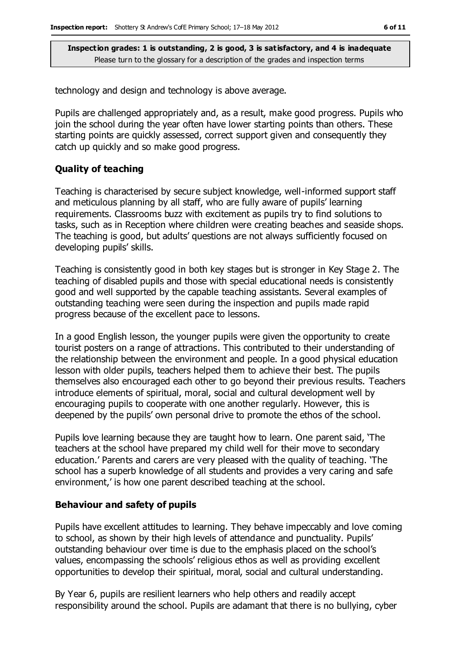technology and design and technology is above average.

Pupils are challenged appropriately and, as a result, make good progress. Pupils who join the school during the year often have lower starting points than others. These starting points are quickly assessed, correct support given and consequently they catch up quickly and so make good progress.

#### **Quality of teaching**

Teaching is characterised by secure subject knowledge, well-informed support staff and meticulous planning by all staff, who are fully aware of pupils' learning requirements. Classrooms buzz with excitement as pupils try to find solutions to tasks, such as in Reception where children were creating beaches and seaside shops. The teaching is good, but adults' questions are not always sufficiently focused on developing pupils' skills.

Teaching is consistently good in both key stages but is stronger in Key Stage 2. The teaching of disabled pupils and those with special educational needs is consistently good and well supported by the capable teaching assistants. Several examples of outstanding teaching were seen during the inspection and pupils made rapid progress because of the excellent pace to lessons.

In a good English lesson, the younger pupils were given the opportunity to create tourist posters on a range of attractions. This contributed to their understanding of the relationship between the environment and people. In a good physical education lesson with older pupils, teachers helped them to achieve their best. The pupils themselves also encouraged each other to go beyond their previous results. Teachers introduce elements of spiritual, moral, social and cultural development well by encouraging pupils to cooperate with one another regularly. However, this is deepened by the pupils' own personal drive to promote the ethos of the school.

Pupils love learning because they are taught how to learn. One parent said, 'The teachers at the school have prepared my child well for their move to secondary education.' Parents and carers are very pleased with the quality of teaching. 'The school has a superb knowledge of all students and provides a very caring and safe environment,' is how one parent described teaching at the school.

#### **Behaviour and safety of pupils**

Pupils have excellent attitudes to learning. They behave impeccably and love coming to school, as shown by their high levels of attendance and punctuality. Pupils' outstanding behaviour over time is due to the emphasis placed on the school's values, encompassing the schools' religious ethos as well as providing excellent opportunities to develop their spiritual, moral, social and cultural understanding.

By Year 6, pupils are resilient learners who help others and readily accept responsibility around the school. Pupils are adamant that there is no bullying, cyber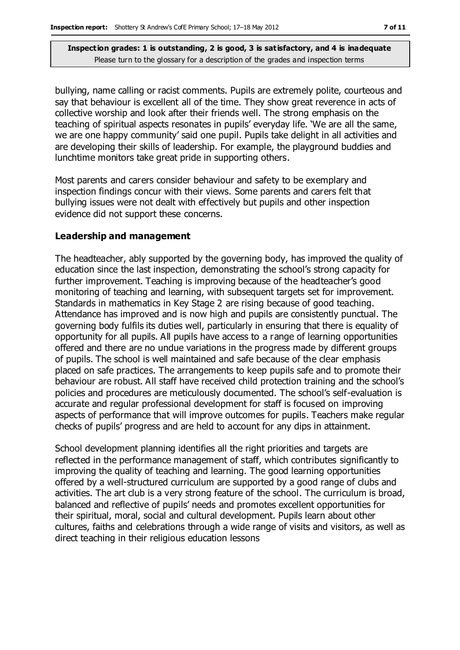bullying, name calling or racist comments. Pupils are extremely polite, courteous and say that behaviour is excellent all of the time. They show great reverence in acts of collective worship and look after their friends well. The strong emphasis on the teaching of spiritual aspects resonates in pupils' everyday life. 'We are all the same, we are one happy community' said one pupil. Pupils take delight in all activities and are developing their skills of leadership. For example, the playground buddies and lunchtime monitors take great pride in supporting others.

Most parents and carers consider behaviour and safety to be exemplary and inspection findings concur with their views. Some parents and carers felt that bullying issues were not dealt with effectively but pupils and other inspection evidence did not support these concerns.

#### **Leadership and management**

The headteacher, ably supported by the governing body, has improved the quality of education since the last inspection, demonstrating the school's strong capacity for further improvement. Teaching is improving because of the headteacher's good monitoring of teaching and learning, with subsequent targets set for improvement. Standards in mathematics in Key Stage 2 are rising because of good teaching. Attendance has improved and is now high and pupils are consistently punctual. The governing body fulfils its duties well, particularly in ensuring that there is equality of opportunity for all pupils. All pupils have access to a range of learning opportunities offered and there are no undue variations in the progress made by different groups of pupils. The school is well maintained and safe because of the clear emphasis placed on safe practices. The arrangements to keep pupils safe and to promote their behaviour are robust. All staff have received child protection training and the school's policies and procedures are meticulously documented. The school's self-evaluation is accurate and regular professional development for staff is focused on improving aspects of performance that will improve outcomes for pupils. Teachers make regular checks of pupils' progress and are held to account for any dips in attainment.

School development planning identifies all the right priorities and targets are reflected in the performance management of staff, which contributes significantly to improving the quality of teaching and learning. The good learning opportunities offered by a well-structured curriculum are supported by a good range of clubs and activities. The art club is a very strong feature of the school. The curriculum is broad, balanced and reflective of pupils' needs and promotes excellent opportunities for their spiritual, moral, social and cultural development. Pupils learn about other cultures, faiths and celebrations through a wide range of visits and visitors, as well as direct teaching in their religious education lessons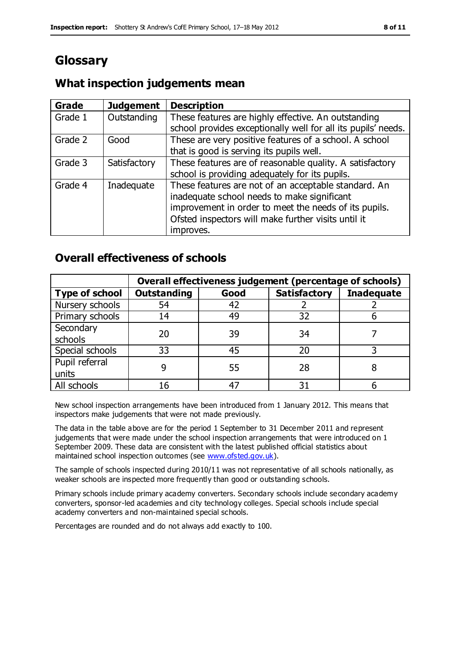# **Glossary**

### **Grade Judgement Description** Grade  $1$  | Outstanding | These features are highly effective. An outstanding school provides exceptionally well for all its pupils' needs. Grade 2 Good These are very positive features of a school. A school that is good is serving its pupils well. Grade 3  $\parallel$  Satisfactory  $\parallel$  These features are of reasonable quality. A satisfactory school is providing adequately for its pupils. Grade 4  $\parallel$  Inadequate  $\parallel$  These features are not of an acceptable standard. An inadequate school needs to make significant improvement in order to meet the needs of its pupils. Ofsted inspectors will make further visits until it improves.

# **What inspection judgements mean**

## **Overall effectiveness of schools**

|                       | Overall effectiveness judgement (percentage of schools) |      |                     |                   |
|-----------------------|---------------------------------------------------------|------|---------------------|-------------------|
| <b>Type of school</b> | <b>Outstanding</b>                                      | Good | <b>Satisfactory</b> | <b>Inadequate</b> |
| Nursery schools       | 54                                                      | 42   |                     |                   |
| Primary schools       | 14                                                      | 49   | 32                  |                   |
| Secondary             | 20                                                      | 39   | 34                  |                   |
| schools               |                                                         |      |                     |                   |
| Special schools       | 33                                                      | 45   | 20                  |                   |
| Pupil referral        |                                                         | 55   | 28                  |                   |
| units                 |                                                         |      |                     |                   |
| All schools           | 16                                                      | 47   | م -                 |                   |

New school inspection arrangements have been introduced from 1 January 2012. This means that inspectors make judgements that were not made previously.

The data in the table above are for the period 1 September to 31 December 2011 and represent judgements that were made under the school inspection arrangements that were introduced on 1 September 2009. These data are consistent with the latest published official statistics about maintained school inspection outcomes (see [www.ofsted.gov.uk\)](http://www.ofsted.gov.uk/).

The sample of schools inspected during 2010/11 was not representative of all schools nationally, as weaker schools are inspected more frequently than good or outstanding schools.

Primary schools include primary academy converters. Secondary schools include secondary academy converters, sponsor-led academies and city technology colleges. Special schools include special academy converters and non-maintained special schools.

Percentages are rounded and do not always add exactly to 100.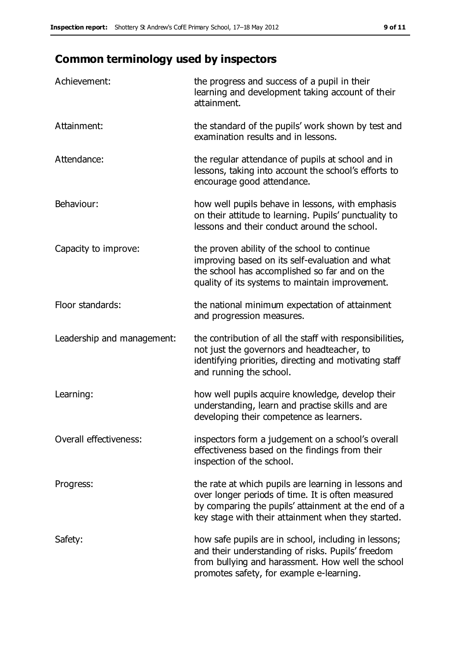# **Common terminology used by inspectors**

| Achievement:                  | the progress and success of a pupil in their<br>learning and development taking account of their<br>attainment.                                                                                                        |
|-------------------------------|------------------------------------------------------------------------------------------------------------------------------------------------------------------------------------------------------------------------|
| Attainment:                   | the standard of the pupils' work shown by test and<br>examination results and in lessons.                                                                                                                              |
| Attendance:                   | the regular attendance of pupils at school and in<br>lessons, taking into account the school's efforts to<br>encourage good attendance.                                                                                |
| Behaviour:                    | how well pupils behave in lessons, with emphasis<br>on their attitude to learning. Pupils' punctuality to<br>lessons and their conduct around the school.                                                              |
| Capacity to improve:          | the proven ability of the school to continue<br>improving based on its self-evaluation and what<br>the school has accomplished so far and on the<br>quality of its systems to maintain improvement.                    |
| Floor standards:              | the national minimum expectation of attainment<br>and progression measures.                                                                                                                                            |
| Leadership and management:    | the contribution of all the staff with responsibilities,<br>not just the governors and headteacher, to<br>identifying priorities, directing and motivating staff<br>and running the school.                            |
| Learning:                     | how well pupils acquire knowledge, develop their<br>understanding, learn and practise skills and are<br>developing their competence as learners.                                                                       |
| <b>Overall effectiveness:</b> | inspectors form a judgement on a school's overall<br>effectiveness based on the findings from their<br>inspection of the school.                                                                                       |
| Progress:                     | the rate at which pupils are learning in lessons and<br>over longer periods of time. It is often measured<br>by comparing the pupils' attainment at the end of a<br>key stage with their attainment when they started. |
| Safety:                       | how safe pupils are in school, including in lessons;<br>and their understanding of risks. Pupils' freedom<br>from bullying and harassment. How well the school<br>promotes safety, for example e-learning.             |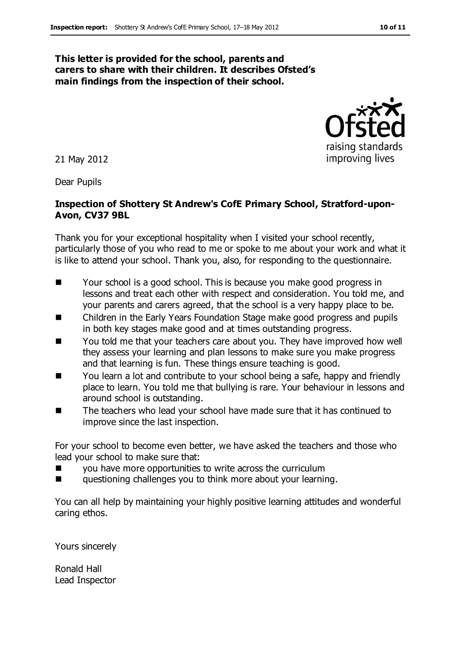#### **This letter is provided for the school, parents and carers to share with their children. It describes Ofsted's main findings from the inspection of their school.**

21 May 2012

Dear Pupils

### **Inspection of Shottery St Andrew's CofE Primary School, Stratford-upon-Avon, CV37 9BL**

Thank you for your exceptional hospitality when I visited your school recently, particularly those of you who read to me or spoke to me about your work and what it is like to attend your school. Thank you, also, for responding to the questionnaire.

- Your school is a good school. This is because you make good progress in lessons and treat each other with respect and consideration. You told me, and your parents and carers agreed, that the school is a very happy place to be.
- Children in the Early Years Foundation Stage make good progress and pupils in both key stages make good and at times outstanding progress.
- You told me that your teachers care about you. They have improved how well they assess your learning and plan lessons to make sure you make progress and that learning is fun. These things ensure teaching is good.
- You learn a lot and contribute to your school being a safe, happy and friendly place to learn. You told me that bullying is rare. Your behaviour in lessons and around school is outstanding.
- The teachers who lead your school have made sure that it has continued to improve since the last inspection.

For your school to become even better, we have asked the teachers and those who lead your school to make sure that:

- **EXECUTE:** you have more opportunities to write across the curriculum
- questioning challenges you to think more about your learning.

You can all help by maintaining your highly positive learning attitudes and wonderful caring ethos.

Yours sincerely

Ronald Hall Lead Inspector